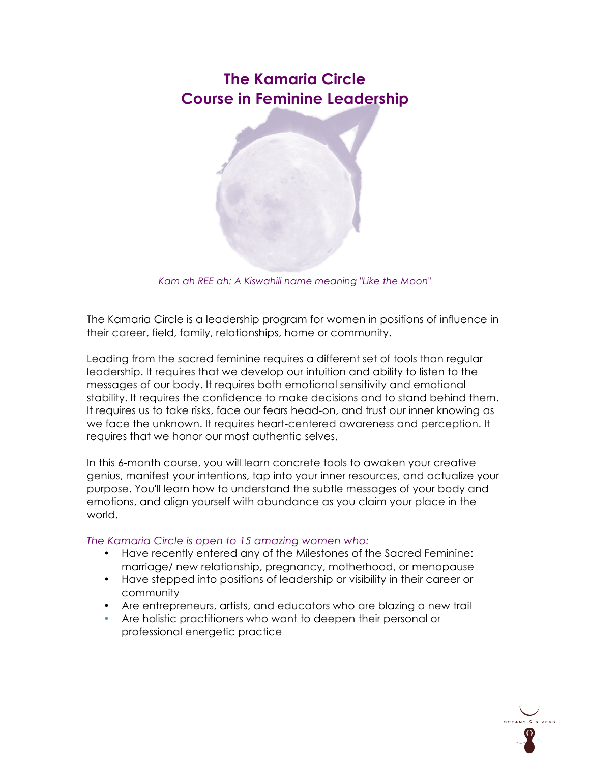# **The Kamaria Circle Course in Feminine Leadership**



*Kam ah REE ah: A Kiswahili name meaning "Like the Moon"*

The Kamaria Circle is a leadership program for women in positions of influence in their career, field, family, relationships, home or community.

Leading from the sacred feminine requires a different set of tools than regular leadership. It requires that we develop our intuition and ability to listen to the messages of our body. It requires both emotional sensitivity and emotional stability. It requires the confidence to make decisions and to stand behind them. It requires us to take risks, face our fears head-on, and trust our inner knowing as we face the unknown. It requires heart-centered awareness and perception. It requires that we honor our most authentic selves.

In this 6-month course, you will learn concrete tools to awaken your creative genius, manifest your intentions, tap into your inner resources, and actualize your purpose. You'll learn how to understand the subtle messages of your body and emotions, and align yourself with abundance as you claim your place in the world.

# *The Kamaria Circle is open to 15 amazing women who:*

- Have recently entered any of the Milestones of the Sacred Feminine: marriage/ new relationship, pregnancy, motherhood, or menopause
- Have stepped into positions of leadership or visibility in their career or community
- Are entrepreneurs, artists, and educators who are blazing a new trail
- Are holistic practitioners who want to deepen their personal or professional energetic practice

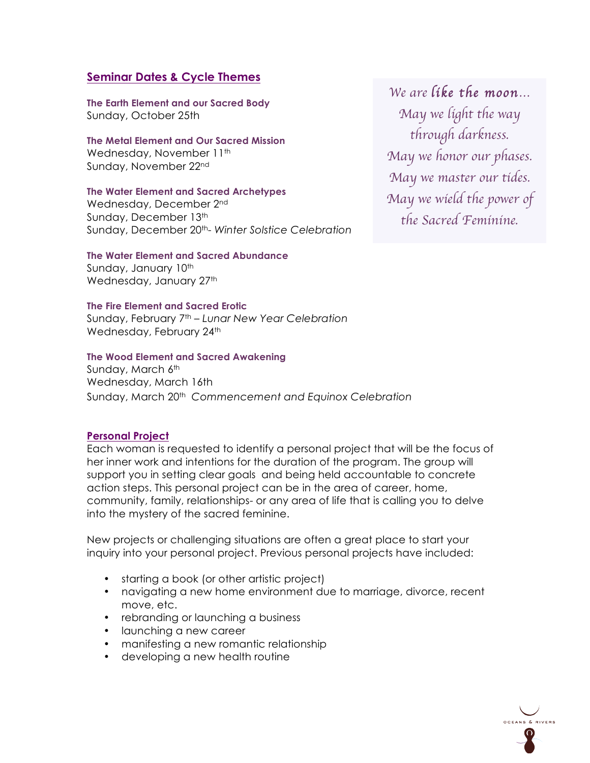# **Seminar Dates & Cycle Themes**

**The Earth Element and our Sacred Body** Sunday, October 25th

#### **The Metal Element and Our Sacred Mission** Wednesday, November 11<sup>th</sup>

Sunday, November 22nd

# **The Water Element and Sacred Archetypes**

Wednesday, December 2nd Sunday, December 13th Sunday, December 20th- *Winter Solstice Celebration*

#### **The Water Element and Sacred Abundance** Sunday, January 10th Wednesday, January 27<sup>th</sup>

# **The Fire Element and Sacred Erotic**

Sunday, February 7th – *Lunar New Year Celebration* Wednesday, February 24th

#### **The Wood Element and Sacred Awakening**

Sunday, March 6th Wednesday, March 16th Sunday, March 20th *Commencement and Equinox Celebration*

# **Personal Project**

Each woman is requested to identify a personal project that will be the focus of her inner work and intentions for the duration of the program. The group will support you in setting clear goals and being held accountable to concrete action steps. This personal project can be in the area of career, home, community, family, relationships- or any area of life that is calling you to delve into the mystery of the sacred feminine.

New projects or challenging situations are often a great place to start your inquiry into your personal project. Previous personal projects have included:

- starting a book (or other artistic project)
- navigating a new home environment due to marriage, divorce, recent move, etc.
- rebranding or launching a business
- launching a new career
- manifesting a new romantic relationship
- developing a new health routine

*We are like the moon… May we light the way through darkness. May we honor our phases. May we master our tides. May we wield the power of the Sacred Feminine.*

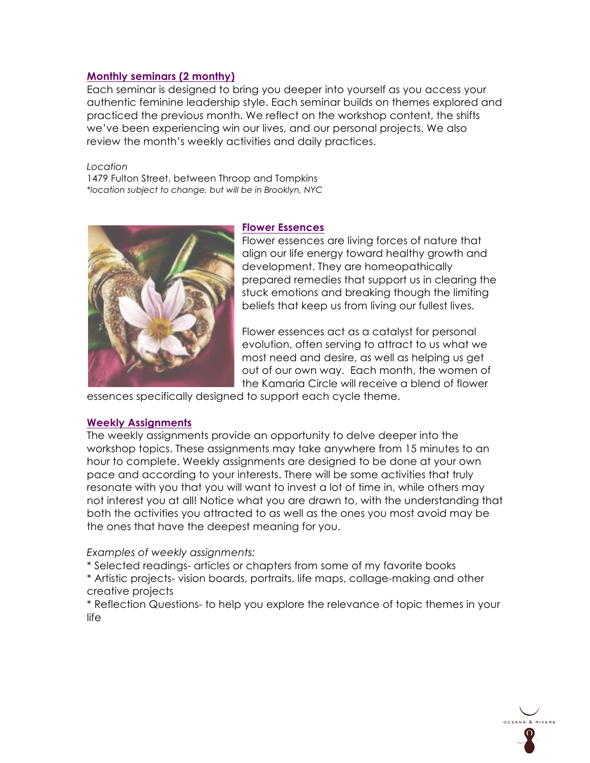# **Monthly seminars (2 monthy)**

Each seminar is designed to bring you deeper into yourself as you access your authentic feminine leadership style. Each seminar builds on themes explored and practiced the previous month. We reflect on the workshop content, the shifts we've been experiencing win our lives, and our personal projects. We also review the month's weekly activities and daily practices.

*Location*  1479 Fulton Street, between Throop and Tompkins *\*location subject to change, but will be in Brooklyn, NYC*



#### **Flower Essences**

Flower essences are living forces of nature that align our life energy toward healthy growth and development. They are homeopathically prepared remedies that support us in clearing the stuck emotions and breaking though the limiting beliefs that keep us from living our fullest lives.

Flower essences act as a catalyst for personal evolution, often serving to attract to us what we most need and desire, as well as helping us get out of our own way. Each month, the women of the Kamaria Circle will receive a blend of flower

essences specifically designed to support each cycle theme.

# **Weekly Assignments**

The weekly assignments provide an opportunity to delve deeper into the workshop topics. These assignments may take anywhere from 15 minutes to an hour to complete. Weekly assignments are designed to be done at your own pace and according to your interests. There will be some activities that truly resonate with you that you will want to invest a lot of time in, while others may not interest you at all! Notice what you are drawn to, with the understanding that both the activities you attracted to as well as the ones you most avoid may be the ones that have the deepest meaning for you.

*Examples of weekly assignments:* 

\* Selected readings- articles or chapters from some of my favorite books

\* Artistic projects- vision boards, portraits, life maps, collage-making and other creative projects

\* Reflection Questions- to help you explore the relevance of topic themes in your life